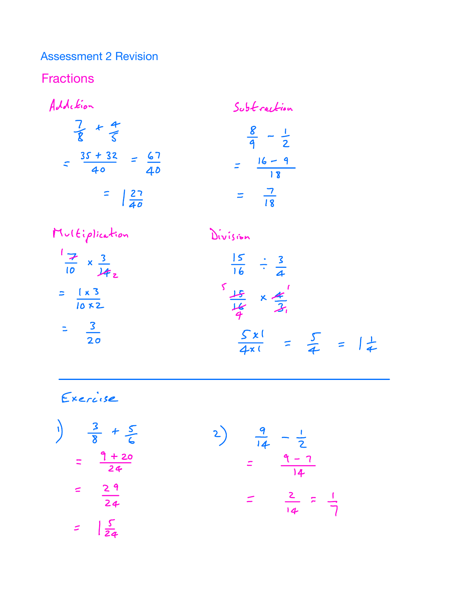Assessment 2 Revision

**Fractions** 

Addition Subtraction  $\frac{7}{8}$  +  $\frac{4}{5}$   $\frac{8}{9}$  -  $\frac{1}{2}$  $=$   $\frac{35 + 32}{40} = \frac{67}{40}$  $= \frac{16-9}{18}$  $=$   $\frac{27}{40}$   $=$   $\frac{7}{18}$ 



Exercise

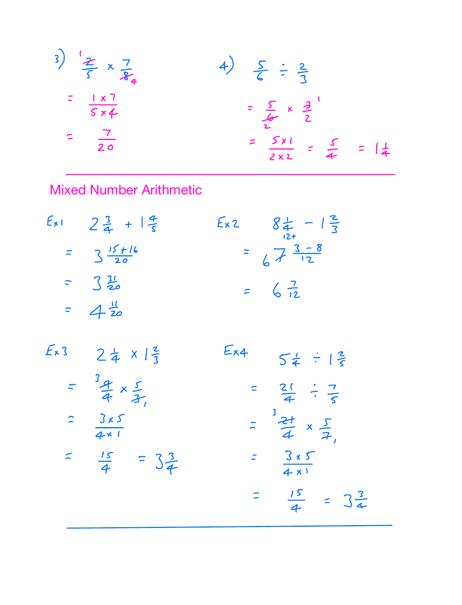3) 
$$
\frac{2}{5} \times \frac{7}{24}
$$
  
\n $\frac{1 \times 7}{5 \times 4}$   
\n $\frac{7}{20}$   
\n $\frac{7}{20}$   
\n $\frac{7}{20}$   
\n $\frac{7}{20}$   
\n $\frac{5}{6} \div \frac{2}{3}$   
\n $\frac{5}{6} \div \frac{2}{3}$   
\n $\frac{5}{6} \div \frac{2}{3}$   
\n $\frac{5}{6} \div \frac{2}{3}$   
\n $\frac{5}{6} \div \frac{2}{3}$   
\n $\frac{5}{6} \div \frac{2}{3}$   
\n $\frac{5}{6} \div \frac{2}{3}$   
\n $\frac{1}{6} \div \frac{2}{3}$   
\n $\frac{1}{6} \div \frac{2}{3}$   
\n $\frac{1}{6} \div \frac{2}{3}$   
\n $\frac{1}{6} \div \frac{2}{3}$   
\n $\frac{1}{6} \div \frac{2}{3}$   
\n $\frac{1}{6} \div \frac{2}{3}$   
\n $\frac{1}{6} \div \frac{2}{3}$   
\n $\frac{1}{6} \div \frac{2}{3}$   
\n $\frac{1}{6} \div \frac{2}{3}$   
\n $\frac{1}{6} \div \frac{2}{3}$   
\n $\frac{1}{6} \div \frac{2}{3}$   
\n $\frac{1}{6} \div \frac{2}{3}$   
\n $\frac{1}{6} \div \frac{2}{3}$   
\n $\frac{1}{6} \div \frac{2}{3}$   
\n $\frac{1}{6} \div \frac{2}{3}$   
\n $\frac{1}{6} \div \frac{2}{3}$ 

Mixed Number Arithmetic

| $E_{\chi}$ | $2\frac{3}{4}$ + $\frac{4}{5}$      | $E_{x2}$ $8\frac{1}{4} - 1\frac{2}{3}$ |
|------------|-------------------------------------|----------------------------------------|
|            | $= 3 \frac{15 + 16}{20}$            | $= 67\frac{3-8}{12}$                   |
|            | $= 3\frac{3!}{20}$                  | $= 6\frac{7}{12}$                      |
|            | $= 4\frac{1}{20}$                   |                                        |
| Ex3        | $24 \times 12$                      | $E_{\times 4}$<br>54 : 12              |
|            | $= \frac{3a}{4} \times \frac{5}{3}$ | $= 2($ $\div 7)$                       |
|            | $=\frac{3\kappa S}{4\kappa I}$      | $=\frac{3}{4} \times \frac{5}{7}$      |
|            | $=\frac{15}{4} = 3\frac{3}{4}$      | $=\frac{3*5}{4*1}$                     |
|            |                                     | $=\frac{15}{4}$ = $3\frac{3}{4}$       |
|            |                                     |                                        |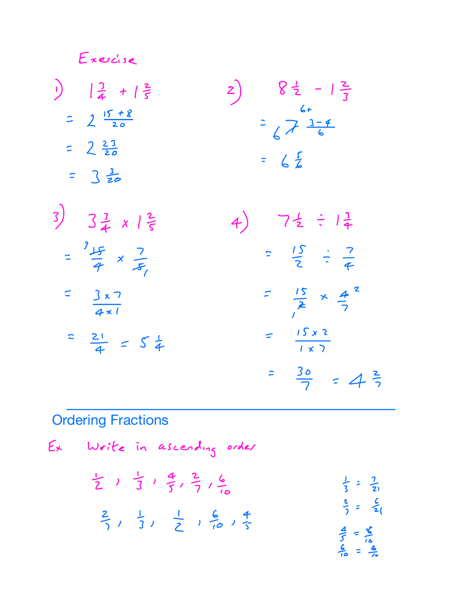Exercise  $\frac{1}{4} + \frac{2}{5}$ 2)  $8\frac{1}{2} - 1\frac{2}{3}$ <br> $\frac{6+}{6}$ <br> $= 2\sqrt{3} \frac{3-4}{6}$  $2\frac{15+8}{20}$  $= 2\frac{23}{20}$  $= 6\frac{5}{6}$  $= 3\frac{3}{20}$  $3)$   $3\frac{3}{4}$   $x \frac{2}{5}$ 4)  $7\frac{1}{2} \div 1\frac{3}{4}$  $=\frac{9+5}{9} \times \frac{7}{5}$  $=\frac{15}{2} \div \frac{7}{4}$  $=\frac{15}{2} \times \frac{4}{7}^{2}$  $=\frac{3\times7}{4\times1}$  $=\frac{\sqrt{5 \times 2}}{\sqrt{2}}$  $=\frac{21}{4}$  =  $5\frac{1}{4}$ 

## **Ordering Fractions**

$$
E_{x}
$$
 Write in ascending order  
\n $\frac{1}{2}$ ,  $\frac{1}{3}$ ,  $\frac{4}{5}$ ,  $\frac{2}{7}$ ,  $\frac{6}{10}$   
\n $\frac{2}{7}$ ,  $\frac{1}{3}$ ,  $\frac{1}{2}$ ,  $\frac{6}{10}$ ,  $\frac{4}{3}$   
\n $\frac{2}{7}$  =  $\frac{6}{21}$   
\n $\frac{4}{3} = \frac{2}{21}$   
\n $\frac{2}{3} = \frac{6}{21}$   
\n $\frac{4}{3} = \frac{8}{21}$ 

 $=\frac{30}{7}$  = 4 $\frac{2}{7}$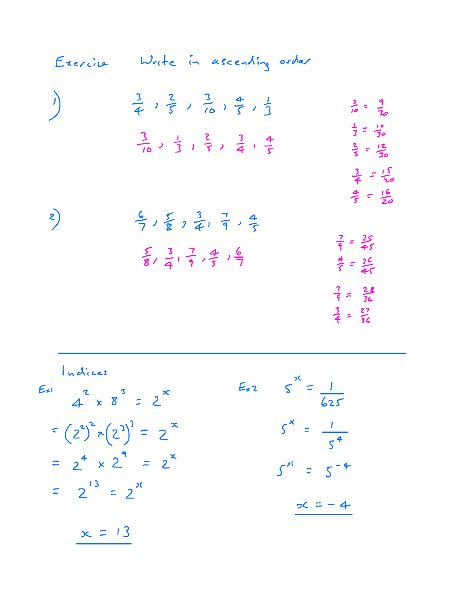| Exercise | Write in ascending order                                                       |                                                                  |
|----------|--------------------------------------------------------------------------------|------------------------------------------------------------------|
| $\int$   | $\frac{3}{4}$ , $\frac{2}{5}$ , $\frac{3}{10}$ , $\frac{4}{5}$ , $\frac{1}{3}$ | $\frac{1}{10} = \frac{9}{30}$                                    |
|          | $\frac{3}{10}$ ) $\frac{1}{3}$ ) $\frac{2}{5}$ ) $\frac{3}{4}$ + $\frac{4}{5}$ | $\frac{1}{3} = \frac{18}{30}$<br>$\frac{2}{5}$ = $\frac{12}{30}$ |
|          |                                                                                | $\frac{3}{4} = \frac{15}{20}$<br>$\frac{a}{5} = \frac{16}{20}$   |
| 2)       | $\frac{6}{7}$ , $\frac{5}{8}$ , $\frac{3}{4}$ , $\frac{7}{9}$ , $\frac{4}{5}$  | $\frac{7}{9} = \frac{35}{55}$                                    |
|          | $\frac{5}{8}, \frac{3}{4}, \frac{7}{9}, \frac{4}{5}, \frac{6}{7}$              | $\frac{4}{5} = \frac{26}{45}$                                    |
|          |                                                                                | $\frac{7}{5} = \frac{28}{36}$<br>$\frac{3}{4} = \frac{27}{36}$   |
|          |                                                                                |                                                                  |

Indices

|                                  | $5^{x} = \frac{1}{625}$<br>$E_{x}$ 2    |
|----------------------------------|-----------------------------------------|
| $f(x)$ $2x$ $3 = 2^x$            |                                         |
| = $(2^2)^2 \times (2^3)^3 = 2^x$ | $5^{\times} = \frac{1}{5^{\frac{4}{}}}$ |
| $= 2^4 \times 2^4 = 2^2$         | $5^{21} = 5^{-4}$                       |
| $= 2^{13} = 2^{x}$               | $\infty$ = - 4                          |
| $\infty = 13$                    |                                         |